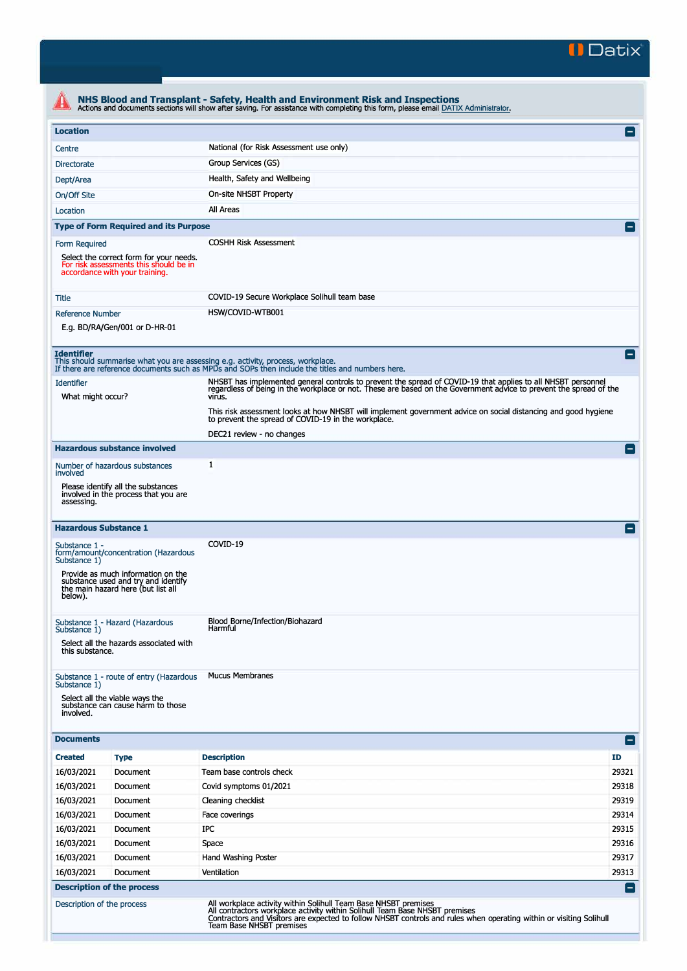

| <b>Location</b>                           |                                                                                                                                                         |                                                                                                                                                                                                                                                                       | Е                  |  |  |
|-------------------------------------------|---------------------------------------------------------------------------------------------------------------------------------------------------------|-----------------------------------------------------------------------------------------------------------------------------------------------------------------------------------------------------------------------------------------------------------------------|--------------------|--|--|
| Centre                                    |                                                                                                                                                         | National (for Risk Assessment use only)                                                                                                                                                                                                                               |                    |  |  |
| <b>Directorate</b>                        | Group Services (GS)                                                                                                                                     |                                                                                                                                                                                                                                                                       |                    |  |  |
| Health, Safety and Wellbeing<br>Dept/Area |                                                                                                                                                         |                                                                                                                                                                                                                                                                       |                    |  |  |
| On-site NHSBT Property                    |                                                                                                                                                         |                                                                                                                                                                                                                                                                       |                    |  |  |
| On/Off Site<br><b>All Areas</b>           |                                                                                                                                                         |                                                                                                                                                                                                                                                                       |                    |  |  |
| Location                                  |                                                                                                                                                         |                                                                                                                                                                                                                                                                       |                    |  |  |
|                                           | <b>Type of Form Required and its Purpose</b>                                                                                                            |                                                                                                                                                                                                                                                                       | Ξ                  |  |  |
| Form Required                             | Select the correct form for your needs.<br>For risk assessments this should be in<br>accordance with your training.                                     | <b>COSHH Risk Assessment</b>                                                                                                                                                                                                                                          |                    |  |  |
| Title                                     |                                                                                                                                                         | COVID-19 Secure Workplace Solihull team base                                                                                                                                                                                                                          |                    |  |  |
| <b>Reference Number</b>                   | E.g. BD/RA/Gen/001 or D-HR-01                                                                                                                           | HSW/COVID-WTB001                                                                                                                                                                                                                                                      |                    |  |  |
| <b>Identifier</b>                         |                                                                                                                                                         | This should summarise what you are assessing e.g. activity, process, workplace.<br>If there are reference documents such as MPDs and SOPs then include the titles and numbers here.                                                                                   | $\left  - \right $ |  |  |
| <b>Identifier</b><br>What might occur?    |                                                                                                                                                         | NHSBT has implemented general controls to prevent the spread of COVID-19 that applies to all NHSBT personnel<br>regardless of being in the workplace or not. These are based on the Government advice to prevent the spread of the<br>virus.                          |                    |  |  |
|                                           |                                                                                                                                                         | This risk assessment looks at how NHSBT will implement government advice on social distancing and good hygiene<br>to prevent the spread of COVID-19 in the workplace.<br>DEC21 review - no changes                                                                    |                    |  |  |
|                                           | <b>Hazardous substance involved</b>                                                                                                                     |                                                                                                                                                                                                                                                                       |                    |  |  |
|                                           | Number of hazardous substances                                                                                                                          | 1                                                                                                                                                                                                                                                                     |                    |  |  |
| involved<br>assessing.                    | Please identify all the substances<br>involved in the process that you are                                                                              |                                                                                                                                                                                                                                                                       |                    |  |  |
| <b>Hazardous Substance 1</b>              |                                                                                                                                                         |                                                                                                                                                                                                                                                                       |                    |  |  |
| Substance 1 -<br>Substance 1)<br>below).  | form/amount/concentration (Hazardous<br>Provide as much information on the<br>substance used and try and identify<br>the main hazard here (but list all | COVID-19                                                                                                                                                                                                                                                              |                    |  |  |
| Substance 1)<br>this substance.           | Substance 1 - Hazard (Hazardous<br>Select all the hazards associated with                                                                               | Blood Borne/Infection/Biohazard<br>Harmful                                                                                                                                                                                                                            |                    |  |  |
| Substance 1)<br>involved.                 | Substance 1 - route of entry (Hazardous<br>Select all the viable ways the<br>substance can cause harm to those                                          | <b>Mucus Membranes</b>                                                                                                                                                                                                                                                |                    |  |  |
| <b>Documents</b>                          |                                                                                                                                                         |                                                                                                                                                                                                                                                                       | EI                 |  |  |
| <b>Created</b>                            | <b>Type</b>                                                                                                                                             | <b>Description</b>                                                                                                                                                                                                                                                    | <b>ID</b>          |  |  |
| 16/03/2021                                | Document                                                                                                                                                | Team base controls check                                                                                                                                                                                                                                              | 29321              |  |  |
| 16/03/2021                                | Document                                                                                                                                                | Covid symptoms 01/2021                                                                                                                                                                                                                                                | 29318              |  |  |
| 16/03/2021                                | Document                                                                                                                                                | Cleaning checklist                                                                                                                                                                                                                                                    | 29319              |  |  |
| 16/03/2021                                | Document                                                                                                                                                | Face coverings                                                                                                                                                                                                                                                        | 29314              |  |  |
| 16/03/2021                                | Document                                                                                                                                                | IPC                                                                                                                                                                                                                                                                   | 29315              |  |  |
| 16/03/2021                                | Document                                                                                                                                                | Space                                                                                                                                                                                                                                                                 | 29316              |  |  |
| 16/03/2021                                | Document                                                                                                                                                | Hand Washing Poster                                                                                                                                                                                                                                                   | 29317              |  |  |
| 16/03/2021                                | Document                                                                                                                                                | Ventilation                                                                                                                                                                                                                                                           | 29313              |  |  |
|                                           | <b>Description of the process</b>                                                                                                                       |                                                                                                                                                                                                                                                                       |                    |  |  |
| Description of the process                |                                                                                                                                                         | All workplace activity within Solihull Team Base NHSBT premises<br>All contractors workplace activity within Solihull Team Base NHSBT premises<br>Contractors and Visitors are expected to follow NHSBT controls and rules when operating within or visiting Solihull |                    |  |  |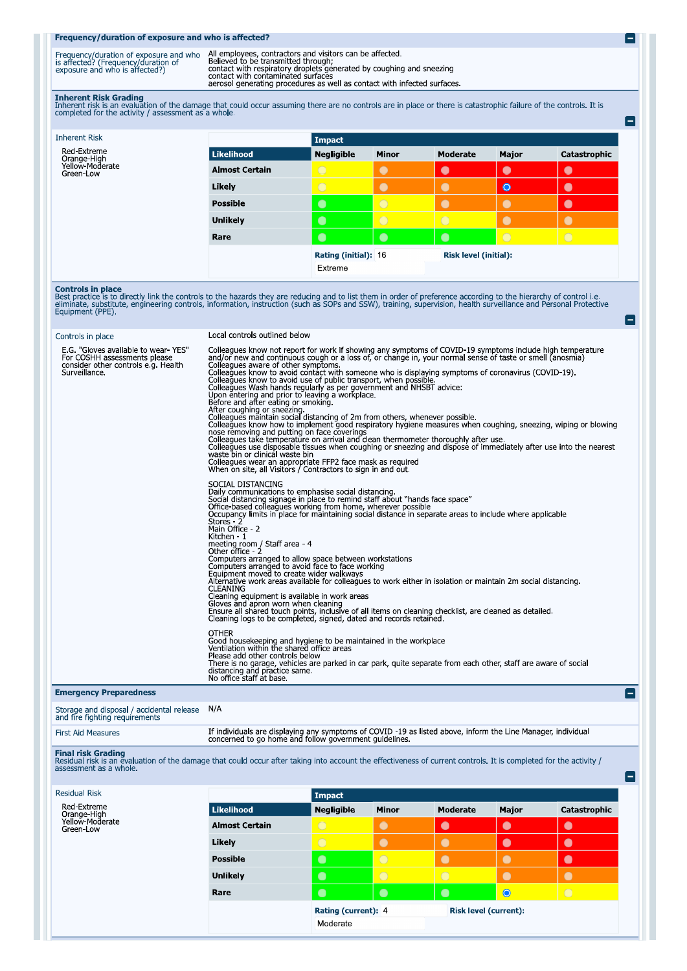## Frequency/duration of exposure and who is affected?

| Frequency/duration of exposure and who<br>is affected? (Frequency/duration of<br>exposure and who is affected?) | All employees, contractors and visitors can be affected<br>Believed to be transmitted through:<br>contact with respiratory droplets generated by coughing and sneezing<br>contact with contaminated surfaces<br>aerosol generating procedures as well as contact with infected surfaces. |
|-----------------------------------------------------------------------------------------------------------------|------------------------------------------------------------------------------------------------------------------------------------------------------------------------------------------------------------------------------------------------------------------------------------------|

e

۸

e

Inherent Risk Grading<br>Inherent risk is an evaluation of the damage that could occur assuming there are no controls are in place or there is catastrophic failure of the controls. It is<br>completed for the activity / assessmen

| <b>Inherent Risk</b>                                       |                       | Impact            |                      |                |                       |              |  |
|------------------------------------------------------------|-----------------------|-------------------|----------------------|----------------|-----------------------|--------------|--|
| Red-Extreme<br>Orange-High<br>Yellow-Moderate<br>Green-Low | Likelihood            | <b>Negligible</b> | <b>Minor</b>         | Moderate       | Major                 | Catastrophic |  |
|                                                            | <b>Almost Certain</b> | $\bigcirc$        | $\bullet$            | $\bullet$      | $\bullet$             | $\bullet$    |  |
|                                                            | Likely                | $\bigcirc$        | $\bullet$            | $\bullet$      | $\bullet$             | $\bullet$    |  |
|                                                            | <b>Possible</b>       | $\bullet$         | $\overline{O}$       | $\bullet$      | $\bullet$             | $\bullet$    |  |
|                                                            | <b>Unlikely</b>       | $\bullet$         | $\circ$              | $\overline{O}$ | $\bullet$             | $\bullet$    |  |
|                                                            | Rare                  | $\bullet$         | $\bullet$            | $\bullet$      | $\circ$               | $\bigcirc$   |  |
|                                                            |                       |                   | Rating (initial): 16 |                | Risk level (initial): |              |  |
|                                                            |                       | Extreme           |                      |                |                       |              |  |

**Controls in place**<br>Best practice is to directly link the controls to the hazards they are reducing and to list them in order of preference according to the hierarchy of control i.e.<br>eliminate, substitute, engineering cont

| Controls in place                                                                                                           | Local controls outlined below                                                                                                                                                                                                                                                                                                                                                                                                                                                                                                                                                                                                                                                                                                                                                                                                                                                                                                                                                                                                                                                                                                                                                                                                        |
|-----------------------------------------------------------------------------------------------------------------------------|--------------------------------------------------------------------------------------------------------------------------------------------------------------------------------------------------------------------------------------------------------------------------------------------------------------------------------------------------------------------------------------------------------------------------------------------------------------------------------------------------------------------------------------------------------------------------------------------------------------------------------------------------------------------------------------------------------------------------------------------------------------------------------------------------------------------------------------------------------------------------------------------------------------------------------------------------------------------------------------------------------------------------------------------------------------------------------------------------------------------------------------------------------------------------------------------------------------------------------------|
| E.G. "Gloves available to wear YES"<br>For COSHH assessments please<br>consider other controls e.g. Health<br>Surveillance. | Colleagues know not report for work if showing any symptoms of COVID-19 symptoms include high temperature<br>and/or new and continuous cough or a loss of, or change in, your normal sense of taste or smell (anosmia)<br>Colleagues aware of other symptoms.<br>Colleagues know to avoid contact with someone who is displaying symptoms of coronavirus (COVID-19).<br>Colleagues know to avoid use of public transport, when possible.<br>Colleagues Wash hands regularly as per government and NHSBT advice:<br>Upon entering and prior to leaving a workplace.<br>Before and after eating or smoking.<br>After coughing or sneezing and a state of 2m from others, whenever possible.<br>Colleagues know how to implement good respiratory hygiene measures when coughing, sneezing, wiping or blowing<br>nose removing and putting on face coverings<br>Colleagues take temperature on arrival and clean thermometer thoroughly after use.<br>Colleagues use disposable tissues when coughing or sneezing and dispose of immediately after use into the nearest<br>waste bin or clinical waste bin<br>Colleagues wear an appropriate FFP2 face mask as required<br>When on site, all Visitors / Contractors to sign in and out. |
|                                                                                                                             | SOCIAL DISTANCING<br>Daily communications to emphasise social distancing.<br>Social distancing signage in place to remind staff about "hands face space"<br>Office-based colleagues working from home, wherever possible<br>Occupancy limits in place for maintaining social distance in separate areas to include where applicable<br>Stores 2<br>Main Office - 2<br>Kitchen - 1<br>meeting room / Staff area - 4<br>Other office - 2<br>Computers arranged to allow space between workstations<br>Computers arranged to avoid face to face working<br>Equipment moved to create wider walkways<br>Alternative work areas available for colleagues to work either in isolation or maintain 2m social distancing.<br><b>CLEANING</b><br>Cleaning equipment is available in work areas<br>Gloves and apron worn when cleaning<br>Ensure all shared touch points, inclusive of all items on cleaning checklist, are cleaned as detailed.<br>Cleaning logs to be completed, signed, dated and records retained.                                                                                                                                                                                                                         |
|                                                                                                                             | <b>OTHER</b><br>Good housekeeping and hygiene to be maintained in the workplace<br>Ventilation within the shared office areas<br>Please add other controls below<br>There is no garage, vehicles are parked in car park, quite separate from each other, staff are aware of social<br>distancing and practice same.<br>No office staff at base.                                                                                                                                                                                                                                                                                                                                                                                                                                                                                                                                                                                                                                                                                                                                                                                                                                                                                      |
| <b>Emergency Preparedness</b>                                                                                               | $\vert - \vert$                                                                                                                                                                                                                                                                                                                                                                                                                                                                                                                                                                                                                                                                                                                                                                                                                                                                                                                                                                                                                                                                                                                                                                                                                      |
| Storage and disposal / accidental release N/A                                                                               |                                                                                                                                                                                                                                                                                                                                                                                                                                                                                                                                                                                                                                                                                                                                                                                                                                                                                                                                                                                                                                                                                                                                                                                                                                      |

# and fire fighting requirements First Aid Measures

If individuals are displaying any symptoms of COVID -19 as listed above, inform the Line Manager, individual concerned to go home and follow government guidelines.

Final risk Grading<br>Residual risk is an evaluation of the damage that could occur after taking into account the effectiveness of current controls. It is completed for the activity /<br>assessment as a whole.

| <b>Residual Risk</b>                          |                       | Impact              |                |                              |           |              |
|-----------------------------------------------|-----------------------|---------------------|----------------|------------------------------|-----------|--------------|
| Red-Extreme<br>Orange-High<br>Yellow-Moderate | Likelihood            | <b>Negligible</b>   | <b>Minor</b>   | Moderate                     | Major     | Catastrophic |
| Green-Low                                     | <b>Almost Certain</b> | $\bigcirc$          | $\bullet$      | $\bullet$                    | $\bullet$ | $\bullet$    |
|                                               | Likely                | $\bigcirc$          | $\bullet$      | $\bullet$                    | $\bullet$ | $\bullet$    |
|                                               | <b>Possible</b>       | $\bullet$           | $\overline{O}$ | $\bullet$                    | $\bullet$ | $\bullet$    |
|                                               | <b>Unlikely</b>       | $\bullet$           | $\circ$        | $\bigcirc$                   | $\bullet$ | $\bullet$    |
|                                               | Rare                  | $\bullet$           | $\bullet$      | $\bullet$                    | $\bullet$ | $\bigcirc$   |
|                                               |                       | Rating (current): 4 |                | <b>Risk level (current):</b> |           |              |
|                                               |                       | Moderate            |                |                              |           |              |